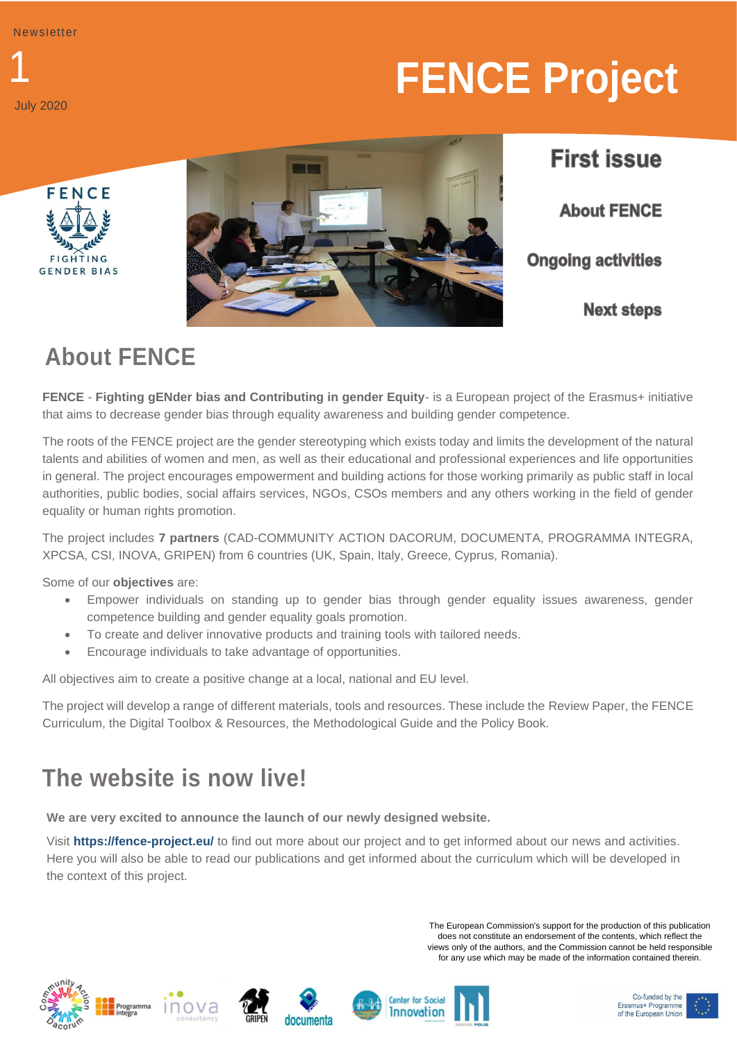1 July 2020

# **FENCE Project**





**First issue About FENCE Ongoing activities Next steps** 

# **About FENCE**

**FENCE** - **Fighting gENder bias and Contributing in gender Equity**- is a European project of the Erasmus+ initiative that aims to decrease gender bias through equality awareness and building gender competence.

The roots of the FENCE project are the gender stereotyping which exists today and limits the development of the natural talents and abilities of women and men, as well as their educational and professional experiences and life opportunities in general. The project encourages empowerment and building actions for those working primarily as public staff in local authorities, public bodies, social affairs services, NGOs, CSOs members and any others working in the field of gender equality or human rights promotion.

The project includes **7 partners** (CAD-COMMUNITY ACTION DACORUM, DOCUMENTA, PROGRAMMA INTEGRA, XPCSA, CSI, INOVA, GRIPEN) from 6 countries (UK, Spain, Italy, Greece, Cyprus, Romania).

Some of our **objectives** are:

- Empower individuals on standing up to gender bias through gender equality issues awareness, gender competence building and gender equality goals promotion.
- To create and deliver innovative products and training tools with tailored needs.
- Encourage individuals to take advantage of opportunities.

All objectives aim to create a positive change at a local, national and EU level.

The project will develop a range of different materials, tools and resources. These include the Review Paper, the FENCE Curriculum, the Digital Toolbox & Resources, the Methodological Guide and the Policy Book.

# **The website is now live!**

**We are very excited to announce the launch of our newly designed website.** 

Visit **https://fence-project.eu/** to find out more about our project and to get informed about our news and activities. Here you will also be able to read our publications and get informed about the curriculum which will be developed in the context of this project.

> The European Commission's support for the production of this publication does not constitute an endorsement of the contents, which reflect the views only of the authors, and the Commission cannot be held responsible for any use which may be made of the information contained therein.